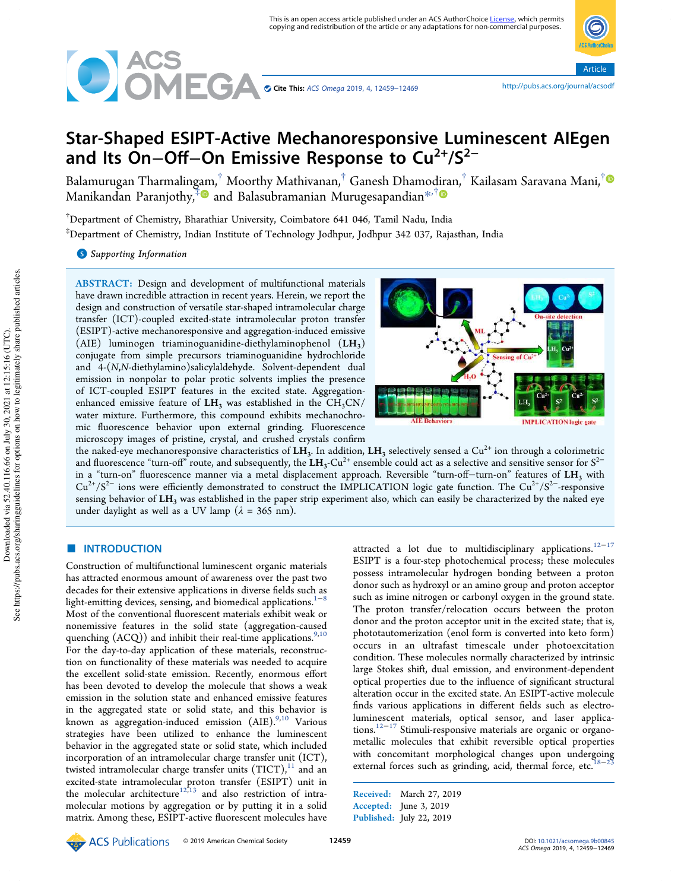

Article

# Star-Shaped ESIPT-Active Mechanoresponsive Luminescent AIEgen and Its On−Off−On Emissive Response to Cu<sup>2+</sup>/S<sup>2−</sup>

Balamurugan Tharmalingam, $^\dagger$  Moorthy Mathivanan, $^\dagger$  Ganesh Dhamodiran, $^\dagger$  Kailasam Saravana Mani, $^\dagger$ Manikandan Paranjothy, $^{\frac{10}{\tilde{}}}\blacksquare$  and Balasubramanian Murugesapandian $^{*,\dagger}$ 

 $^{\dagger}$ Department of Chemistry, Bharathiar University, Coimbatore 641 046, Tamil Nadu, India

‡Department of Chemistry, Indian Institute of Technology Jodhpur, Jodhpur 342 037, Rajasthan, India

**S** Supporting Information

ABSTRACT: Design and development of multifunctional materials have drawn incredible attraction in recent years. Herein, we report the design and construction of versatile star-shaped intramolecular charge transfer (ICT)-coupled excited-state intramolecular proton transfer (ESIPT)-active mechanoresponsive and aggregation-induced emissive (AIE) luminogen triaminoguanidine-diethylaminophenol  $(LH_3)$ conjugate from simple precursors triaminoguanidine hydrochloride and 4-(*N*,*N*-diethylamino)salicylaldehyde. Solvent-dependent dual emission in nonpolar to polar protic solvents implies the presence of ICT-coupled ESIPT features in the excited state. Aggregationenhanced emissive feature of  $LH_3$  was established in the  $CH_3CN/A$ water mixture. Furthermore, this compound exhibits mechanochromic fluorescence behavior upon external grinding. Fluorescence microscopy images of pristine, crystal, and crushed crystals confirm



the naked-eye mechanoresponsive characteristics of  $\rm LH_3$ . In addition,  $\rm LH_3$  selectively sensed a Cu<sup>2+</sup> ion through a colorimetric and fluorescence "turn-off" route, and subsequently, the  $rmbf H}_3$ -Cu<sup>2+</sup> ensemble could act as a selective and sensitive sensor for  $S^2$ in a "turn-on" fluorescence manner via a metal displacement approach. Reversible "turn-off−turn-on" features of LH<sup>3</sup> with Cu<sup>2+</sup>/S<sup>2−</sup> ions were efficiently demonstrated to construct the IMPLICATION logic gate function. The Cu<sup>2+</sup>/S<sup>2−</sup>-responsive sensing behavior of LH<sub>3</sub> was established in the paper strip experiment also, which can easily be characterized by the naked eye under daylight as well as a UV lamp ( $\lambda = 365$  nm).

## **ENTRODUCTION**

Construction of multifunctional luminescent organic materials has attracted enormous amount of awareness over the past two decades for their extensive applications in diverse fields such as light-emitting devices, sensing, and biomedical applications. $1^{-8}$ Most of the conventional fluorescent materials exhibit weak or nonemissive features in the solid state (aggregation-caused quenching (ACQ)) and inhibit their real-time applications.<sup>9,10</sup> For the day-to-day application of these materials, reconstruction on functionality of these materials was needed to acquire the excellent solid-state emission. Recently, enormous effort has been devoted to develop the molecule that shows a weak emission in the solution state and enhanced emissive features in the aggregated state or solid state, and this behavior is known as aggregation-induced emission  $(AIE).<sup>9,10</sup>$  Various strategies have been utilized to enhance the luminescent behavior in the aggregated state or solid state, which included incorporation of an intramolecular charge transfer unit (ICT), twisted intramolecular charge transfer units  $(TICT),^{11}$  and an excited-state intramolecular proton transfer (ESIPT) unit in the molecular architecture<sup>12,13</sup> and also restriction of intramolecular motions by aggregation or by putting it in a solid matrix. Among these, ESIPT-active fluorescent molecules have attracted a lot due to multidisciplinary applications.12−<sup>17</sup> ESIPT is a four-step photochemical process; these molecules possess intramolecular hydrogen bonding between a proton donor such as hydroxyl or an amino group and proton acceptor such as imine nitrogen or carbonyl oxygen in the ground state. The proton transfer/relocation occurs between the proton donor and the proton acceptor unit in the excited state; that is, phototautomerization (enol form is converted into keto form) occurs in an ultrafast timescale under photoexcitation condition. These molecules normally characterized by intrinsic large Stokes shift, dual emission, and environment-dependent optical properties due to the influence of significant structural alteration occur in the excited state. An ESIPT-active molecule finds various applications in different fields such as electroluminescent materials, optical sensor, and laser applications.12−<sup>17</sup> Stimuli-responsive materials are organic or organometallic molecules that exhibit reversible optical properties with concomitant morphological changes upon undergoing external forces such as grinding, acid, thermal force, etc.<sup>18−23</sup>

Received: March 27, 2019 Accepted: June 3, 2019 Published: July 22, 2019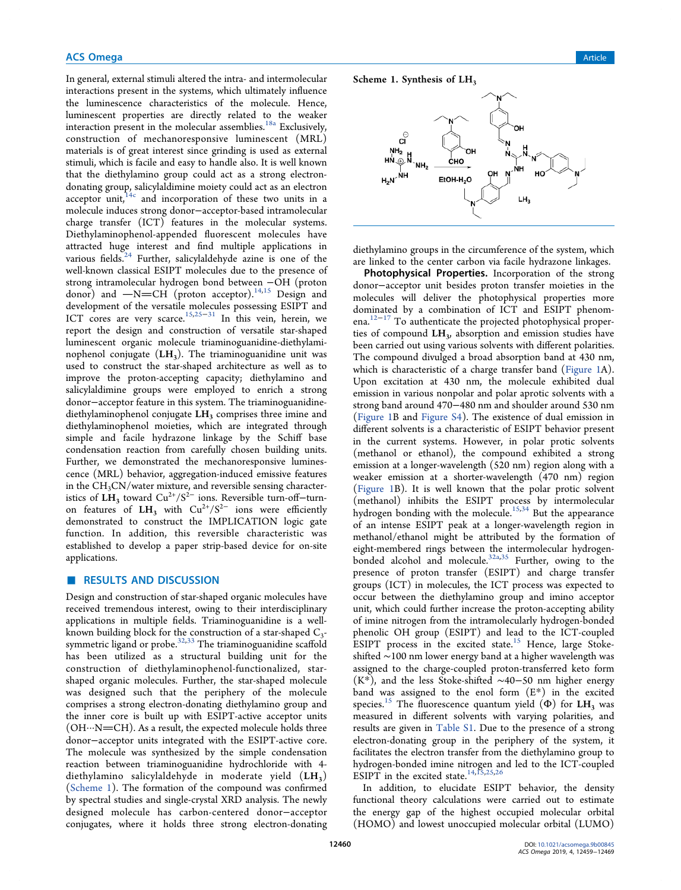In general, external stimuli altered the intra- and intermolecular interactions present in the systems, which ultimately influence the luminescence characteristics of the molecule. Hence, luminescent properties are directly related to the weaker interaction present in the molecular assemblies.<sup>18a</sup> Exclusively, construction of mechanoresponsive luminescent (MRL) materials is of great interest since grinding is used as external stimuli, which is facile and easy to handle also. It is well known that the diethylamino group could act as a strong electrondonating group, salicylaldimine moiety could act as an electron acceptor unit,  $14c$  and incorporation of these two units in a molecule induces strong donor−acceptor-based intramolecular charge transfer (ICT) features in the molecular systems. Diethylaminophenol-appended fluorescent molecules have attracted huge interest and find multiple applications in various fields.<sup>24</sup> Further, salicylaldehyde azine is one of the well-known classical ESIPT molecules due to the presence of strong intramolecular hydrogen bond between −OH (proton donor) and  $-N=CH$  (proton acceptor).<sup>14,15</sup> Design and development of the versatile molecules possessing ESIPT and ICT cores are very scarce.<sup>15,25–31</sup> In this vein, herein, we report the design and construction of versatile star-shaped luminescent organic molecule triaminoguanidine-diethylaminophenol conjugate  $(LH_3)$ . The triaminoguanidine unit was used to construct the star-shaped architecture as well as to improve the proton-accepting capacity; diethylamino and salicylaldimine groups were employed to enrich a strong donor−acceptor feature in this system. The triaminoguanidinediethylaminophenol conjugate  $LH_3$  comprises three imine and diethylaminophenol moieties, which are integrated through simple and facile hydrazone linkage by the Schiff base condensation reaction from carefully chosen building units. Further, we demonstrated the mechanoresponsive luminescence (MRL) behavior, aggregation-induced emissive features in the  $CH<sub>3</sub>CN/water mixture, and reversible sensing character$ istics of  $LH_3$  toward  $Cu^{2+}/S^{2-}$  ions. Reversible turn-off–turnon features of  $LH_3$  with  $Cu^{2+}/S^{2-}$  ions were efficiently demonstrated to construct the IMPLICATION logic gate function. In addition, this reversible characteristic was established to develop a paper strip-based device for on-site applications.

## ■ RESULTS AND DISCUSSION

Design and construction of star-shaped organic molecules have received tremendous interest, owing to their interdisciplinary applications in multiple fields. Triaminoguanidine is a wellknown building block for the construction of a star-shaped  $C_3$ symmetric ligand or probe.<sup>32,33</sup> The triaminoguanidine scaffold has been utilized as a structural building unit for the construction of diethylaminophenol-functionalized, starshaped organic molecules. Further, the star-shaped molecule was designed such that the periphery of the molecule comprises a strong electron-donating diethylamino group and the inner core is built up with ESIPT-active acceptor units  $(OH...N=CH)$ . As a result, the expected molecule holds three donor−acceptor units integrated with the ESIPT-active core. The molecule was synthesized by the simple condensation reaction between triaminoguanidine hydrochloride with 4 diethylamino salicylaldehyde in moderate yield  $(LH_3)$ (Scheme 1). The formation of the compound was confirmed by spectral studies and single-crystal XRD analysis. The newly designed molecule has carbon-centered donor−acceptor conjugates, where it holds three strong electron-donating





diethylamino groups in the circumference of the system, which are linked to the center carbon via facile hydrazone linkages.

Photophysical Properties. Incorporation of the strong donor−acceptor unit besides proton transfer moieties in the molecules will deliver the photophysical properties more dominated by a combination of ICT and ESIPT phenom- $\frac{12-17}{2}$  To authenticate the projected photophysical properties of compound  $LH_3$ , absorption and emission studies have been carried out using various solvents with different polarities. The compound divulged a broad absorption band at 430 nm, which is characteristic of a charge transfer band (Figure 1A). Upon excitation at 430 nm, the molecule exhibited dual emission in various nonpolar and polar aprotic solvents with a strong band around 470−480 nm and shoulder around 530 nm (Figure 1B and Figure S4). The existence of dual emission in different solvents is a characteristic of ESIPT behavior present in the current systems. However, in polar protic solvents (methanol or ethanol), the compound exhibited a strong emission at a longer-wavelength (520 nm) region along with a weaker emission at a shorter-wavelength (470 nm) region (Figure 1B). It is well known that the polar protic solvent (methanol) inhibits the ESIPT process by intermolecular hydrogen bonding with the molecule.<sup>15,34</sup> But the appearance of an intense ESIPT peak at a longer-wavelength region in methanol/ethanol might be attributed by the formation of eight-membered rings between the intermolecular hydrogenbonded alcohol and molecule.<sup>32a,35</sup> Further, owing to the presence of proton transfer (ESIPT) and charge transfer groups (ICT) in molecules, the ICT process was expected to occur between the diethylamino group and imino acceptor unit, which could further increase the proton-accepting ability of imine nitrogen from the intramolecularly hydrogen-bonded phenolic OH group (ESIPT) and lead to the ICT-coupled ESIPT process in the excited state.<sup>15</sup> Hence, large Stokeshifted ∼100 nm lower energy band at a higher wavelength was assigned to the charge-coupled proton-transferred keto form (K\*), and the less Stoke-shifted ∼40−50 nm higher energy band was assigned to the enol form (E\*) in the excited species.<sup>15</sup> The fluorescence quantum yield ( $\Phi$ ) for LH<sub>3</sub> was measured in different solvents with varying polarities, and results are given in Table S1. Due to the presence of a strong electron-donating group in the periphery of the system, it facilitates the electron transfer from the diethylamino group to hydrogen-bonded imine nitrogen and led to the ICT-coupled  $ESTPT$  in the excited state.<sup>14,15,25,26</sup>

In addition, to elucidate ESIPT behavior, the density functional theory calculations were carried out to estimate the energy gap of the highest occupied molecular orbital (HOMO) and lowest unoccupied molecular orbital (LUMO)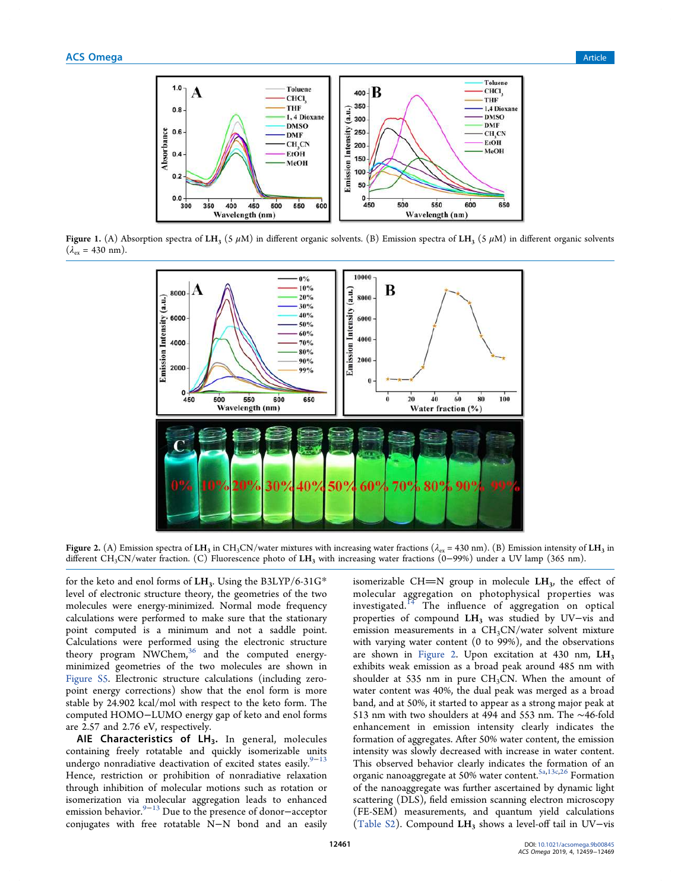

Figure 1. (A) Absorption spectra of LH<sub>3</sub> (5  $\mu$ M) in different organic solvents. (B) Emission spectra of LH<sub>3</sub> (5  $\mu$ M) in different organic solvents  $(\lambda_{\text{ex}} = 430 \text{ nm}).$ 



Figure 2. (A) Emission spectra of LH3 in CH3CN/water mixtures with increasing water fractions ( $\lambda_\mathrm{ex}$  = 430 nm). (B) Emission intensity of LH3 in different CH<sub>3</sub>CN/water fraction. (C) Fluorescence photo of LH<sub>3</sub> with increasing water fractions (0−99%) under a UV lamp (365 nm).

for the keto and enol forms of  $LH_3$ . Using the B3LYP/6-31G\* level of electronic structure theory, the geometries of the two molecules were energy-minimized. Normal mode frequency calculations were performed to make sure that the stationary point computed is a minimum and not a saddle point. Calculations were performed using the electronic structure theory program  $\text{NWChem}^{36}$  and the computed energyminimized geometries of the two molecules are shown in Figure S5. Electronic structure calculations (including zeropoint energy corrections) show that the enol form is more stable by 24.902 kcal/mol with respect to the keto form. The computed HOMO−LUMO energy gap of keto and enol forms are 2.57 and 2.76 eV, respectively.

AIE Characteristics of LH<sub>3</sub>. In general, molecules containing freely rotatable and quickly isomerizable units undergo nonradiative deactivation of excited states easily. $9-13$ Hence, restriction or prohibition of nonradiative relaxation through inhibition of molecular motions such as rotation or isomerization via molecular aggregation leads to enhanced emission behavior.9−<sup>13</sup> Due to the presence of donor−acceptor conjugates with free rotatable N−N bond and an easily

isomerizable CH=N group in molecule  $LH_3$ , the effect of molecular aggregation on photophysical properties was investigated. $14$  The influence of aggregation on optical properties of compound LH<sup>3</sup> was studied by UV−vis and emission measurements in a  $CH<sub>3</sub>CN/water$  solvent mixture with varying water content (0 to 99%), and the observations are shown in Figure 2. Upon excitation at 430 nm,  $LH_3$ exhibits weak emission as a broad peak around 485 nm with shoulder at 535 nm in pure  $CH<sub>3</sub>CN$ . When the amount of water content was 40%, the dual peak was merged as a broad band, and at 50%, it started to appear as a strong major peak at 513 nm with two shoulders at 494 and 553 nm. The ∼46-fold enhancement in emission intensity clearly indicates the formation of aggregates. After 50% water content, the emission intensity was slowly decreased with increase in water content. This observed behavior clearly indicates the formation of an organic nanoaggregate at 50% water content.  $5a,13c,26$  Formation of the nanoaggregate was further ascertained by dynamic light scattering (DLS), field emission scanning electron microscopy (FE-SEM) measurements, and quantum yield calculations (Table S2). Compound  $LH_3$  shows a level-off tail in UV-vis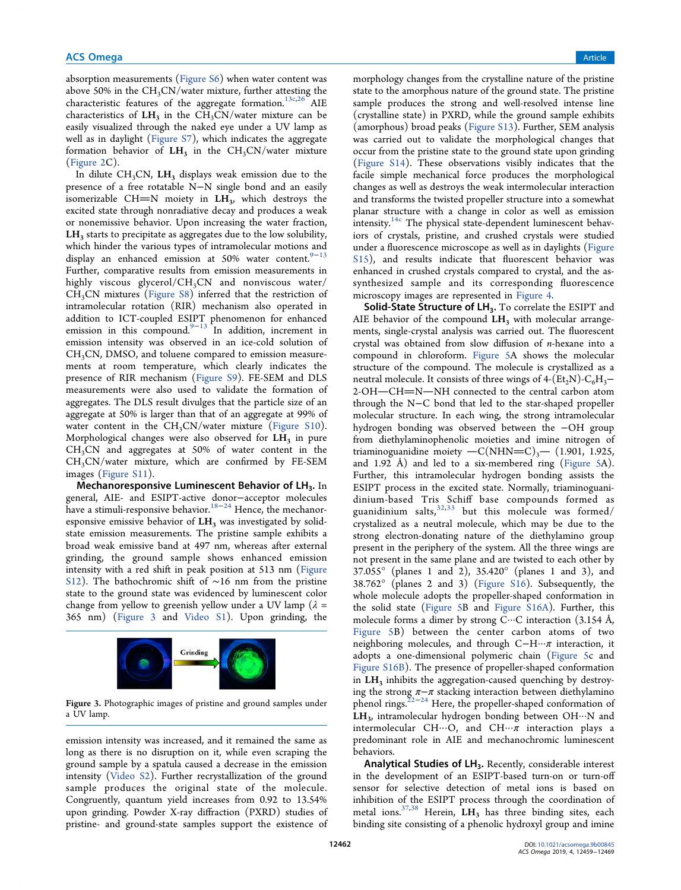absorption measurements (Figure S6) when water content was above 50% in the  $CH<sub>3</sub>CN/water mixture$ , further attesting the characteristic features of the aggregate formation.<sup>13c,26</sup> AIE characteristics of  $LH_3$  in the  $CH_3CN/water$  mixture can be easily visualized through the naked eye under a UV lamp as well as in daylight (Figure S7), which indicates the aggregate formation behavior of  $LH_3$  in the  $CH_3CN/water$  mixture (Figure 2C).

In dilute  $CH<sub>3</sub>CN$ ,  $LH<sub>3</sub>$  displays weak emission due to the presence of a free rotatable N−N single bond and an easily isomerizable CH=N moiety in  $LH_3$ , which destroys the excited state through nonradiative decay and produces a weak or nonemissive behavior. Upon increasing the water fraction,  $\mathrm{LH}_3$  starts to precipitate as aggregates due to the low solubility, which hinder the various types of intramolecular motions and display an enhanced emission at 50% water content.<sup>9-13</sup> Further, comparative results from emission measurements in highly viscous glycerol/ $CH<sub>3</sub>CN$  and nonviscous water/  $CH<sub>3</sub>CN$  mixtures (Figure S8) inferred that the restriction of intramolecular rotation (RIR) mechanism also operated in addition to ICT-coupled ESIPT phenomenon for enhanced emission in this compound.<sup>9–13</sup> In addition, increment in emission intensity was observed in an ice-cold solution of  $CH<sub>3</sub>CN$ , DMSO, and toluene compared to emission measurements at room temperature, which clearly indicates the presence of RIR mechanism (Figure S9). FE-SEM and DLS measurements were also used to validate the formation of aggregates. The DLS result divulges that the particle size of an aggregate at 50% is larger than that of an aggregate at 99% of water content in the  $CH<sub>3</sub>CN/water$  mixture (Figure S10). Morphological changes were also observed for  $\boldsymbol{\mathrm{LH}}_{3}$  in pure CH<sub>3</sub>CN and aggregates at 50% of water content in the  $CH<sub>3</sub>CN/water$  mixture, which are confirmed by FE-SEM images (Figure S11).

Mechanoresponsive Luminescent Behavior of LH<sub>3</sub>. In general, AIE- and ESIPT-active donor−acceptor molecules have a stimuli-responsive behavior.18−<sup>24</sup> Hence, the mechanoresponsive emissive behavior of  $LH_3$  was investigated by solidstate emission measurements. The pristine sample exhibits a broad weak emissive band at 497 nm, whereas after external grinding, the ground sample shows enhanced emission intensity with a red shift in peak position at 513 nm (Figure S12). The bathochromic shift of ∼16 nm from the pristine state to the ground state was evidenced by luminescent color change from yellow to greenish yellow under a UV lamp ( $\lambda =$ 365 nm) (Figure 3 and Video S1). Upon grinding, the



Figure 3. Photographic images of pristine and ground samples under a UV lamp.

emission intensity was increased, and it remained the same as long as there is no disruption on it, while even scraping the ground sample by a spatula caused a decrease in the emission intensity (Video S2). Further recrystallization of the ground sample produces the original state of the molecule. Congruently, quantum yield increases from 0.92 to 13.54% upon grinding. Powder X-ray diffraction (PXRD) studies of pristine- and ground-state samples support the existence of morphology changes from the crystalline nature of the pristine state to the amorphous nature of the ground state. The pristine sample produces the strong and well-resolved intense line (crystalline state) in PXRD, while the ground sample exhibits (amorphous) broad peaks (Figure S13). Further, SEM analysis was carried out to validate the morphological changes that occur from the pristine state to the ground state upon grinding (Figure S14). These observations visibly indicates that the facile simple mechanical force produces the morphological changes as well as destroys the weak intermolecular interaction and transforms the twisted propeller structure into a somewhat planar structure with a change in color as well as emission intensity.<sup>14c</sup> The physical state-dependent luminescent behaviors of crystals, pristine, and crushed crystals were studied under a fluorescence microscope as well as in daylights (Figure S15), and results indicate that fluorescent behavior was enhanced in crushed crystals compared to crystal, and the assynthesized sample and its corresponding fluorescence microscopy images are represented in Figure 4.

**Solid-State Structure of LH<sub>3</sub>.** To correlate the ESIPT and AIE behavior of the compound  $LH<sub>3</sub>$  with molecular arrangements, single-crystal analysis was carried out. The fluorescent crystal was obtained from slow diffusion of *n*-hexane into a compound in chloroform. Figure 5A shows the molecular structure of the compound. The molecule is crystallized as a neutral molecule. It consists of three wings of  $4-(Et_2N)-C_6H_3-$ 2-OH-CH=N-NH connected to the central carbon atom through the N−C bond that led to the star-shaped propeller molecular structure. In each wing, the strong intramolecular hydrogen bonding was observed between the −OH group from diethylaminophenolic moieties and imine nitrogen of triaminoguanidine moiety  $-C(NHN=C)<sub>3</sub> - (1.901, 1.925,$ and 1.92 Å) and led to a six-membered ring (Figure 5A). Further, this intramolecular hydrogen bonding assists the ESIPT process in the excited state. Normally, triaminoguanidinium-based Tris Schiff base compounds formed as guanidinium salts,  $32,33$  but this molecule was formed/ crystalized as a neutral molecule, which may be due to the strong electron-donating nature of the diethylamino group present in the periphery of the system. All the three wings are not present in the same plane and are twisted to each other by 37.055° (planes 1 and 2), 35.420° (planes 1 and 3), and 38.762° (planes 2 and 3) (Figure S16). Subsequently, the whole molecule adopts the propeller-shaped conformation in the solid state (Figure 5B and Figure S16A). Further, this molecule forms a dimer by strong  $C \cdots C$  interaction (3.154 Å, Figure 5B) between the center carbon atoms of two neighboring molecules, and through C−H···π interaction, it adopts a one-dimensional polymeric chain (Figure 5c and Figure S16B). The presence of propeller-shaped conformation in  $\mathrm{LH}_3$  inhibits the aggregation-caused quenching by destroying the strong  $\pi-\pi$  stacking interaction between diethylamino phenol rings.<sup>22−24</sup> Here, the propeller-shaped conformation of  $\text{LH}_3$ , intramolecular hydrogen bonding between OH…N and intermolecular CH···O, and CH··· $\pi$  interaction plays a predominant role in AIE and mechanochromic luminescent behaviors.

Analytical Studies of LH<sub>3</sub>. Recently, considerable interest in the development of an ESIPT-based turn-on or turn-off sensor for selective detection of metal ions is based on inhibition of the ESIPT process through the coordination of metal ions.37,38 Herein, LH<sup>3</sup> has three binding sites, each binding site consisting of a phenolic hydroxyl group and imine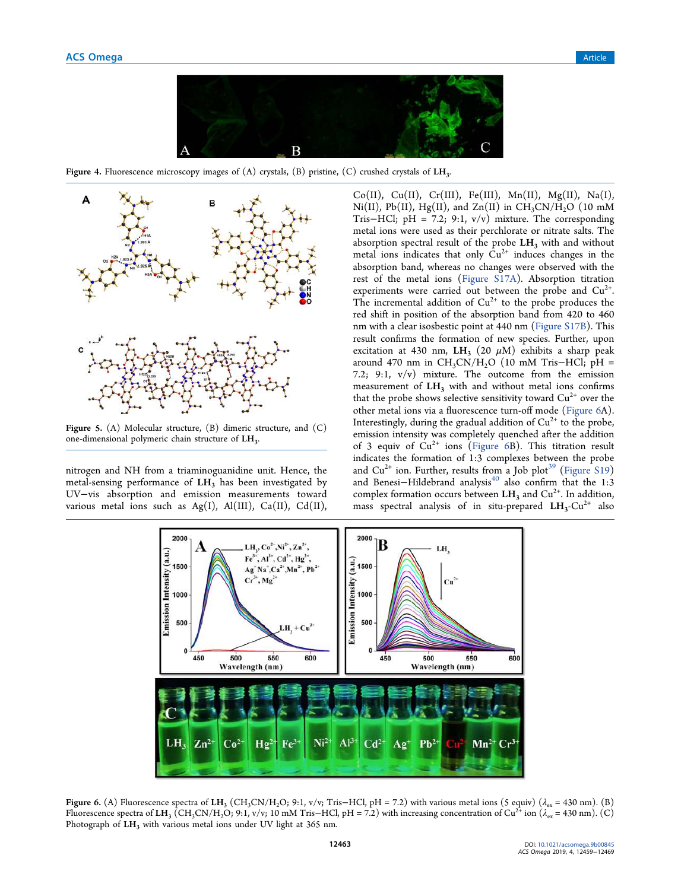

Figure 4. Fluorescence microscopy images of (A) crystals, (B) pristine, (C) crushed crystals of  $\text{LH}_3$ .



Figure 5. (A) Molecular structure, (B) dimeric structure, and (C) one-dimensional polymeric chain structure of  $\mathrm{LH}_3$ .

nitrogen and NH from a triaminoguanidine unit. Hence, the metal-sensing performance of  $LH_3$  has been investigated by UV−vis absorption and emission measurements toward various metal ions such as  $Ag(I)$ ,  $Al(III)$ ,  $Ca(II)$ ,  $Cd(II)$ , Co(II), Cu(II), Cr(III), Fe(III), Mn(II), Mg(II), Na(I),  $Ni(II)$ ,  $Pb(II)$ ,  $Hg(II)$ , and  $Zn(II)$  in  $CH_3CN/H_2O$  (10 mM Tris−HCl; pH = 7.2; 9:1,  $v/v$ ) mixture. The corresponding metal ions were used as their perchlorate or nitrate salts. The absorption spectral result of the probe  $LH_3$  with and without metal ions indicates that only  $Cu^{2+}$  induces changes in the absorption band, whereas no changes were observed with the rest of the metal ions (Figure S17A). Absorption titration experiments were carried out between the probe and  $Cu^{2+}$ . The incremental addition of  $Cu^{2+}$  to the probe produces the red shift in position of the absorption band from 420 to 460 nm with a clear isosbestic point at 440 nm (Figure S17B). This result confirms the formation of new species. Further, upon excitation at 430 nm,  $LH_3$  (20  $\mu$ M) exhibits a sharp peak around 470 nm in  $CH_3CN/H_2O$  (10 mM Tris-HCl; pH = 7.2; 9:1, v/v) mixture. The outcome from the emission measurement of  $LH_3$  with and without metal ions confirms that the probe shows selective sensitivity toward  $Cu^{2+}$  over the other metal ions via a fluorescence turn-off mode (Figure 6A). Interestingly, during the gradual addition of  $Cu^{2+}$  to the probe, emission intensity was completely quenched after the addition of 3 equiv of  $Cu^{2+}$  ions (Figure 6B). This titration result indicates the formation of 1:3 complexes between the probe and  $Cu^{2+}$  ion. Further, results from a Job plot<sup>39</sup> (Figure S19) and Benesi-Hildebrand analysis<sup>40</sup> also confirm that the 1:3 complex formation occurs between  $LH_3$  and  $Cu^{2+}$ . In addition, mass spectral analysis of in situ-prepared  $LH_3$ -Cu<sup>2+</sup> also



Figure 6. (A) Fluorescence spectra of LH<sub>3</sub> (CH<sub>3</sub>CN/H<sub>2</sub>O; 9:1, v/v; Tris–HCl, pH = 7.2) with various metal ions (5 equiv) ( $\lambda_{\text{ex}}$  = 430 nm). (B) Fluorescence spectra of LH<sub>3</sub> (CH<sub>3</sub>CN/H<sub>2</sub>O; 9:1, v/v; 10 mM Tris–HCl, pH = 7.2) with increasing concentration of Cu<sup>2+</sup> ion ( $\lambda_{ex}$  = 430 nm). (C) Photograph of LH<sub>3</sub> with various metal ions under UV light at 365 nm.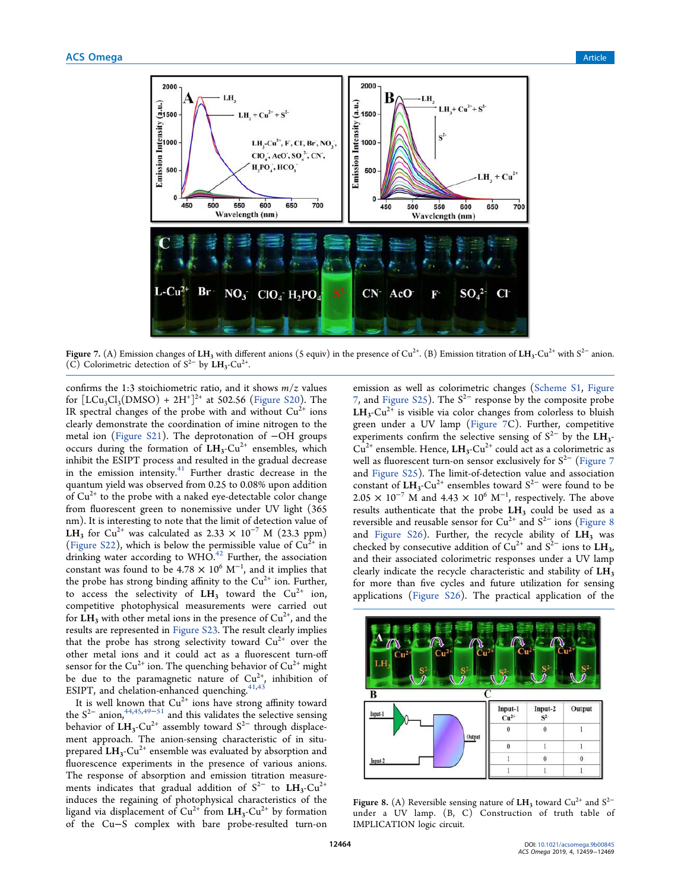

Figure 7. (A) Emission changes of LH<sub>3</sub> with different anions (5 equiv) in the presence of Cu<sup>2+</sup>. (B) Emission titration of LH<sub>3</sub>-Cu<sup>2+</sup> with S<sup>2-</sup> anion. (C) Colorimetric detection of  $S^{2-}$  by  $LH_3$ -Cu<sup>2+</sup>.

confirms the 1:3 stoichiometric ratio, and it shows *m*/*z* values for  $[LCu_3Cl_3(DMSO) + 2H^+]^{2+}$  at 502.56 (Figure S20). The IR spectral changes of the probe with and without  $Cu^{2+}$  ions clearly demonstrate the coordination of imine nitrogen to the metal ion (Figure S21). The deprotonation of −OH groups occurs during the formation of  $LH_3$ -Cu<sup>2+</sup> ensembles, which inhibit the ESIPT process and resulted in the gradual decrease in the emission intensity. $41$  Further drastic decrease in the quantum yield was observed from 0.25 to 0.08% upon addition of  $Cu<sup>2+</sup>$  to the probe with a naked eye-detectable color change from fluorescent green to nonemissive under UV light (365 nm). It is interesting to note that the limit of detection value of LH<sub>3</sub> for Cu<sup>2+</sup> was calculated as 2.33 × 10<sup>-7</sup> M (23.3 ppm) (Figure S22), which is below the permissible value of  $Cu^{2+}$  in drinking water according to WHO.<sup>42</sup> Further, the association constant was found to be  $4.78 \times 10^6$  M<sup>-1</sup>, and it implies that the probe has strong binding affinity to the  $Cu^{2+}$  ion. Further, to access the selectivity of  $LH_3$  toward the  $Cu^{2+}$  ion, competitive photophysical measurements were carried out for  $LH_3$  with other metal ions in the presence of  $Cu^{2+}$ , and the results are represented in Figure S23. The result clearly implies that the probe has strong selectivity toward  $Cu^{2+}$  over the other metal ions and it could act as a fluorescent turn-off sensor for the Cu<sup>2+</sup> ion. The quenching behavior of Cu<sup>2+</sup> might be due to the paramagnetic nature of  $Cu^{2+}$ , inhibition of ESIPT, and chelation-enhanced quenching.  $41,43$ 

It is well known that  $Cu^{2+}$  ions have strong affinity toward the S<sup>2−</sup> anion,<sup>44,45,49−51</sup> and this validates the selective sensing behavior of  $\text{LH}_{3}$ -Cu<sup>2+</sup> assembly toward S<sup>2–</sup> through displacement approach. The anion-sensing characteristic of in situprepared  $\mathrm{LH}_3\text{-Cu}^{2+}$  ensemble was evaluated by absorption and fluorescence experiments in the presence of various anions. The response of absorption and emission titration measurements indicates that gradual addition of  $S^{2-}$  to  $LH_3$ -Cu<sup>2+</sup> induces the regaining of photophysical characteristics of the ligand via displacement of  $Cu^{2+}$  from  $LH_3$ -Cu<sup>2+</sup> by formation of the Cu−S complex with bare probe-resulted turn-on

emission as well as colorimetric changes (Scheme S1, Figure 7, and Figure S25). The S<sup>2−</sup> response by the composite probe  $LH_3$ -Cu<sup>2+</sup> is visible via color changes from colorless to bluish green under a UV lamp (Figure 7C). Further, competitive experiments confirm the selective sensing of  $S^{2-}$  by the LH<sub>3</sub>- $Cu^{2+}$  ensemble. Hence,  $LH_3$ - $Cu^{2+}$  could act as a colorimetric as well as fluorescent turn-on sensor exclusively for S<sup>2-</sup> (Figure 7 and Figure S25). The limit-of-detection value and association constant of  $LH_3$ -Cu<sup>2+</sup> ensembles toward S<sup>2−</sup> were found to be  $2.05 \times 10^{-7}$  M and  $4.43 \times 10^{6}$  M<sup>-1</sup>, respectively. The above results authenticate that the probe  $LH_3$  could be used as a reversible and reusable sensor for  $Cu^{2+}$  and  $S^{2-}$  ions (Figure 8 and Figure S26). Further, the recycle ability of  $LH_3$  was checked by consecutive addition of  $Cu^{2+}$  and  $S^{2-}$  ions to  $LH_3$ , and their associated colorimetric responses under a UV lamp clearly indicate the recycle characteristic and stability of  $LH_3$ for more than five cycles and future utilization for sensing applications (Figure S26). The practical application of the



Figure 8. (A) Reversible sensing nature of  $LH_3$  toward  $Cu^{2+}$  and  $S^{2-}$ under a UV lamp. (B, C) Construction of truth table of IMPLICATION logic circuit.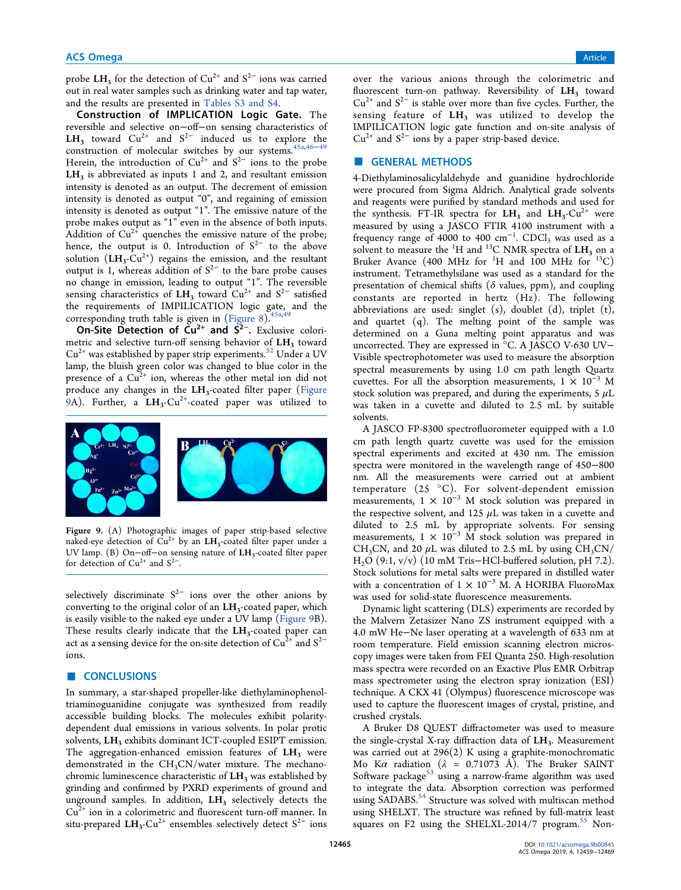probe  $LH_3$  for the detection of  $Cu^{2+}$  and  $S^{2-}$  ions was carried out in real water samples such as drinking water and tap water, and the results are presented in Tables S3 and S4.

Construction of IMPLICATION Logic Gate. The reversible and selective on−off−on sensing characteristics of LH<sub>3</sub> toward Cu<sup>2+</sup> and S<sup>2−</sup> induced us to explore the construction of molecular switches by our systems.<sup>45a,46−49</sup> Herein, the introduction of  $Cu^{2+}$  and  $S^{2-}$  ions to the probe  $LH_3$  is abbreviated as inputs 1 and 2, and resultant emission intensity is denoted as an output. The decrement of emission intensity is denoted as output "0", and regaining of emission intensity is denoted as output "1". The emissive nature of the probe makes output as "1" even in the absence of both inputs. Addition of  $Cu^{2+}$  quenches the emissive nature of the probe; hence, the output is 0. Introduction of  $S^{2-}$  to the above solution  $(LH_3\text{-}Cu^{2+})$  regains the emission, and the resultant output is 1, whereas addition of  $S^{2-}$  to the bare probe causes no change in emission, leading to output "1". The reversible sensing characteristics of  $LH_3$  toward  $Cu^{2+}$  and  $S^{2-}$  satisfied the requirements of IMPILICATION logic gate, and the corresponding truth table is given in (Figure 8).<sup>45a,4</sup>

On-Site Detection of  $\tilde{Cu}^{2+}$  and  $\tilde{S}^{2-}$ . Exclusive colorimetric and selective turn-off sensing behavior of  $LH_3$  toward  $Cu<sup>2+</sup>$  was established by paper strip experiments.<sup>52</sup> Under a UV lamp, the bluish green color was changed to blue color in the presence of a  $Cu^{2+}$  ion, whereas the other metal ion did not produce any changes in the LH<sub>3</sub>-coated filter paper (Figure 9A). Further, a  $LH_3$ -Cu<sup>2+</sup>-coated paper was utilized to



Figure 9. (A) Photographic images of paper strip-based selective naked-eye detection of  $Cu^{2+}$  by an  $LH_3$ -coated filter paper under a UV lamp. (B) On-off-on sensing nature of LH<sub>3</sub>-coated filter paper for detection of  $Cu^{2+}$  and  $S^{2-}$ .

selectively discriminate  $S^{2-}$  ions over the other anions by converting to the original color of an  $LH_3$ -coated paper, which is easily visible to the naked eye under a UV lamp (Figure 9B). These results clearly indicate that the  $LH_3$ -coated paper can act as a sensing device for the on-site detection of  $Cu^{2+}$  and  $S^{2-}$ ions.

## ■ **CONCLUSIONS**

In summary, a star-shaped propeller-like diethylaminophenoltriaminoguanidine conjugate was synthesized from readily accessible building blocks. The molecules exhibit polaritydependent dual emissions in various solvents. In polar protic solvents, LH<sub>3</sub> exhibits dominant ICT-coupled ESIPT emission. The aggregation-enhanced emission features of  $LH_3$  were demonstrated in the  $CH<sub>3</sub>CN/water$  mixture. The mechanochromic luminescence characteristic of  $LH_3$  was established by grinding and confirmed by PXRD experiments of ground and unground samples. In addition,  $LH_3$  selectively detects the  $Cu<sup>2+</sup>$  ion in a colorimetric and fluorescent turn-off manner. In situ-prepared  $\mathrm{LH}_{3}\text{-Cu}^{2+}$  ensembles selectively detect  $\mathrm{S}^{2-}$  ions

over the various anions through the colorimetric and fluorescent turn-on pathway. Reversibility of  $LH_3$  toward  $Cu^{2+}$  and  $S^{2-}$  is stable over more than five cycles. Further, the sensing feature of  $LH_3$  was utilized to develop the IMPILICATION logic gate function and on-site analysis of  $Cu^{2+}$  and  $S^{2-}$  ions by a paper strip-based device.

# **B** GENERAL METHODS

4-Diethylaminosalicylaldehyde and guanidine hydrochloride were procured from Sigma Aldrich. Analytical grade solvents and reagents were purified by standard methods and used for the synthesis. FT-IR spectra for  $LH_3$  and  $LH_3$ -Cu<sup>2+</sup> were measured by using a JASCO FTIR 4100 instrument with a frequency range of 4000 to 400 cm<sup>-1</sup>. CDCl<sub>3</sub> was used as a solvent to measure the  ${}^{1}H$  and  ${}^{13}C$  NMR spectra of LH<sub>3</sub> on a Bruker Avance (400 MHz for  ${}^{1}$ H and 100 MHz for  ${}^{13}$ C) instrument. Tetramethylsilane was used as a standard for the presentation of chemical shifts ( $\delta$  values, ppm), and coupling constants are reported in hertz (Hz). The following abbreviations are used: singlet (s), doublet (d), triplet (t), and quartet (q). The melting point of the sample was determined on a Guna melting point apparatus and was uncorrected. They are expressed in °C. A JASCO V-630 UV− Visible spectrophotometer was used to measure the absorption spectral measurements by using 1.0 cm path length Quartz cuvettes. For all the absorption measurements,  $1 \times 10^{-3}$  M stock solution was prepared, and during the experiments,  $5 \mu L$ was taken in a cuvette and diluted to 2.5 mL by suitable solvents.

A JASCO FP-8300 spectrofluorometer equipped with a 1.0 cm path length quartz cuvette was used for the emission spectral experiments and excited at 430 nm. The emission spectra were monitored in the wavelength range of 450−800 nm. All the measurements were carried out at ambient temperature  $(25 \text{ °C})$ . For solvent-dependent emission measurements,  $1 \times 10^{-3}$  M stock solution was prepared in the respective solvent, and 125  $\mu$ L was taken in a cuvette and diluted to 2.5 mL by appropriate solvents. For sensing measurements,  $1 \times 10^{-3}$  M stock solution was prepared in CH<sub>3</sub>CN, and 20  $\mu$ L was diluted to 2.5 mL by using CH<sub>3</sub>CN/ H<sub>2</sub>O (9:1, v/v) (10 mM Tris–HCl-buffered solution, pH 7.2). Stock solutions for metal salts were prepared in distilled water with a concentration of  $1 \times 10^{-3}$  M. A HORIBA FluoroMax was used for solid-state fluorescence measurements.

Dynamic light scattering (DLS) experiments are recorded by the Malvern Zetasizer Nano ZS instrument equipped with a 4.0 mW He−Ne laser operating at a wavelength of 633 nm at room temperature. Field emission scanning electron microscopy images were taken from FEI Quanta 250. High-resolution mass spectra were recorded on an Exactive Plus EMR Orbitrap mass spectrometer using the electron spray ionization (ESI) technique. A CKX 41 (Olympus) fluorescence microscope was used to capture the fluorescent images of crystal, pristine, and crushed crystals.

A Bruker D8 QUEST diffractometer was used to measure the single-crystal X-ray diffraction data of  $LH_3$ . Measurement was carried out at 296(2) K using a graphite-monochromatic Mo K $\alpha$  radiation ( $\lambda$  = 0.71073 Å). The Bruker SAINT Software package $53$  using a narrow-frame algorithm was used to integrate the data. Absorption correction was performed using SADABS.<sup>54</sup> Structure was solved with multiscan method using SHELXT. The structure was refined by full-matrix least squares on F2 using the SHELXL-2014/7 program.<sup>55</sup> Non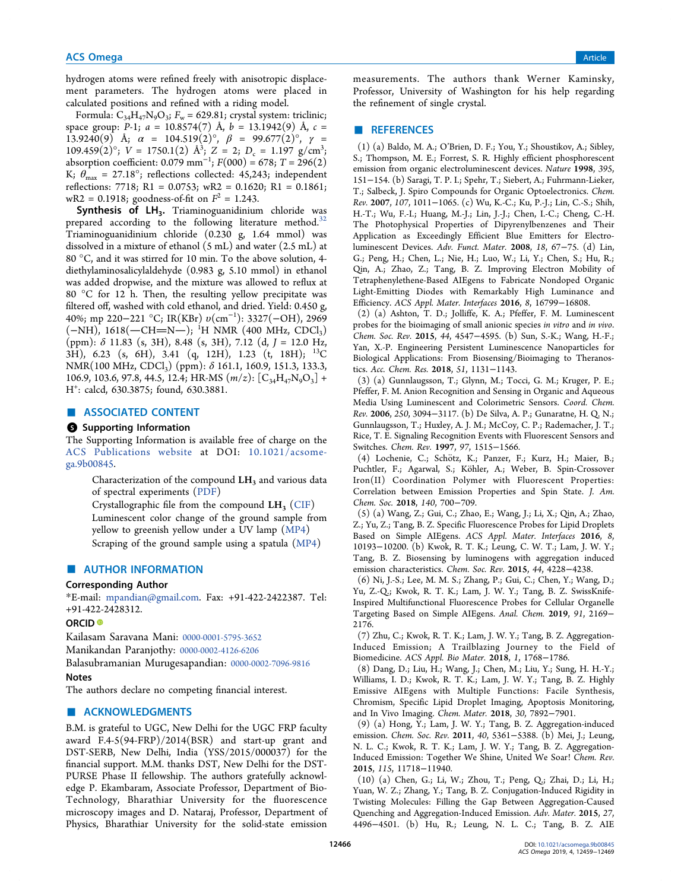hydrogen atoms were refined freely with anisotropic displacement parameters. The hydrogen atoms were placed in calculated positions and refined with a riding model.

Formula:  $C_{34}H_{47}N_9O_3$ ;  $F_w = 629.81$ ; crystal system: triclinic; space group: *P*-1; *a* = 10.8574(7) Å, *b* = 13.1942(9) Å, *c* = 13.9240(9) Å;  $\alpha = 104.519(2)$ °,  $\beta = 99.677(2)$ °,  $\gamma =$ 109.459(2)°;  $V = 1750.1(2)$  Å<sup>3</sup>;  $Z = 2$ ;  $D_c = 1.197$  g/cm<sup>3</sup>; absorption coefficient:  $0.079 \text{ mm}^{-1}$ ;  $F(000) = 678$ ;  $T = 296(2)$ K;  $\theta_{\text{max}} = 27.18^{\circ}$ ; reflections collected: 45,243; independent reflections: 7718; R1 = 0.0753; wR2 = 0.1620; R1 = 0.1861;  $wR2 = 0.1918$ ; goodness-of-fit on  $F^2 = 1.243$ .

**Synthesis of**  $LH_3$ **.** Triaminoguanidinium chloride was prepared according to the following literature method. $32$ Triaminoguanidinium chloride (0.230 g, 1.64 mmol) was dissolved in a mixture of ethanol (5 mL) and water (2.5 mL) at 80 °C, and it was stirred for 10 min. To the above solution, 4 diethylaminosalicylaldehyde (0.983 g, 5.10 mmol) in ethanol was added dropwise, and the mixture was allowed to reflux at 80 °C for 12 h. Then, the resulting yellow precipitate was filtered off, washed with cold ethanol, and dried. Yield: 0.450 g, 40%; mp 220−221 °C; IR(KBr) υ(cm<sup>−</sup><sup>1</sup> ): 3327(−OH), 2969  $(-NH)$ , 1618( $-CH=N$ ); <sup>1</sup>H NMR (400 MHz, CDCl<sub>3</sub>) (ppm): δ 11.83 (s, 3H), 8.48 (s, 3H), 7.12 (d, *J* = 12.0 Hz, 3H), 6.23 (s, 6H), 3.41 (q, 12H), 1.23 (t, 18H); <sup>13</sup>C NMR(100 MHz, CDCl3) (ppm): δ 161.1, 160.9, 151.3, 133.3, 106.9, 103.6, 97.8, 44.5, 12.4; HR-MS  $(m/z)$ :  $[C_{34}H_{47}N_9O_3]$  + H + : calcd, 630.3875; found, 630.3881.

## ■ ASSOCIATED CONTENT

#### **6** Supporting Information

The Supporting Information is available free of charge on the ACS Publications website at DOI: 10.1021/acsomega.9b00845.

Characterization of the compound  $LH_3$  and various data of spectral experiments (PDF)

Crystallographic file from the compound  $LH_3$  (CIF) Luminescent color change of the ground sample from yellow to greenish yellow under a UV lamp (MP4) Scraping of the ground sample using a spatula (MP4)

## **E** AUTHOR INFORMATION

#### Corresponding Author

\*E-mail: mpandian@gmail.com. Fax: +91-422-2422387. Tel: +91-422-2428312.

## ORCID<sup>®</sup>

Kailasam Saravana Mani: 0000-0001-5795-3652 Manikandan Paranjothy: 0000-0002-4126-6206

Balasubramanian Murugesapandian: 0000-0002-7096-9816

**Notes** 

The authors declare no competing financial interest.

## ■ ACKNOWLEDGMENTS

B.M. is grateful to UGC, New Delhi for the UGC FRP faculty award F.4-5(94-FRP)/2014(BSR) and start-up grant and DST-SERB, New Delhi, India (YSS/2015/000037) for the financial support. M.M. thanks DST, New Delhi for the DST-PURSE Phase II fellowship. The authors gratefully acknowledge P. Ekambaram, Associate Professor, Department of Bio-Technology, Bharathiar University for the fluorescence microscopy images and D. Nataraj, Professor, Department of Physics, Bharathiar University for the solid-state emission

measurements. The authors thank Werner Kaminsky, Professor, University of Washington for his help regarding the refinement of single crystal.

#### ■ REFERENCES

(1) (a) Baldo, M. A.; O'Brien, D. F.; You, Y.; Shoustikov, A.; Sibley, S.; Thompson, M. E.; Forrest, S. R. Highly efficient phosphorescent emission from organic electroluminescent devices. *Nature* 1998, *395*, 151−154. (b) Saragi, T. P. I.; Spehr, T.; Siebert, A.; Fuhrmann-Lieker, T.; Salbeck, J. Spiro Compounds for Organic Optoelectronics. *Chem. Rev.* 2007, *107*, 1011−1065. (c) Wu, K.-C.; Ku, P.-J.; Lin, C.-S.; Shih, H.-T.; Wu, F.-I.; Huang, M.-J.; Lin, J.-J.; Chen, I.-C.; Cheng, C.-H. The Photophysical Properties of Dipyrenylbenzenes and Their Application as Exceedingly Efficient Blue Emitters for Electroluminescent Devices. *Adv. Funct. Mater.* 2008, *18*, 67−75. (d) Lin, G.; Peng, H.; Chen, L.; Nie, H.; Luo, W.; Li, Y.; Chen, S.; Hu, R.; Qin, A.; Zhao, Z.; Tang, B. Z. Improving Electron Mobility of Tetraphenylethene-Based AIEgens to Fabricate Nondoped Organic Light-Emitting Diodes with Remarkably High Luminance and Efficiency. *ACS Appl. Mater. Interfaces* 2016, *8*, 16799−16808.

(2) (a) Ashton, T. D.; Jolliffe, K. A.; Pfeffer, F. M. Luminescent probes for the bioimaging of small anionic species *in vitro* and *in vivo*. *Chem. Soc. Rev.* 2015, *44*, 4547−4595. (b) Sun, S.-K.; Wang, H.-F.; Yan, X.-P. Engineering Persistent Luminescence Nanoparticles for Biological Applications: From Biosensing/Bioimaging to Theranostics. *Acc. Chem. Res.* 2018, *51*, 1131−1143.

(3) (a) Gunnlaugsson, T.; Glynn, M.; Tocci, G. M.; Kruger, P. E.; Pfeffer, F. M. Anion Recognition and Sensing in Organic and Aqueous Media Using Luminescent and Colorimetric Sensors. *Coord. Chem. Rev.* 2006, *250*, 3094−3117. (b) De Silva, A. P.; Gunaratne, H. Q. N.; Gunnlaugsson, T.; Huxley, A. J. M.; McCoy, C. P.; Rademacher, J. T.; Rice, T. E. Signaling Recognition Events with Fluorescent Sensors and Switches. *Chem. Rev.* 1997, *97*, 1515−1566.

(4) Lochenie, C.; Schötz, K.; Panzer, F.; Kurz, H.; Maier, B.; Puchtler, F.; Agarwal, S.; Köhler, A.; Weber, B. Spin-Crossover Iron(II) Coordination Polymer with Fluorescent Properties: Correlation between Emission Properties and Spin State. *J. Am. Chem. Soc.* 2018, *140*, 700−709.

(5) (a) Wang, Z.; Gui, C.; Zhao, E.; Wang, J.; Li, X.; Qin, A.; Zhao, Z.; Yu, Z.; Tang, B. Z. Specific Fluorescence Probes for Lipid Droplets Based on Simple AIEgens. *ACS Appl. Mater. Interfaces* 2016, *8*, 10193−10200. (b) Kwok, R. T. K.; Leung, C. W. T.; Lam, J. W. Y.; Tang, B. Z. Biosensing by luminogens with aggregation induced emission characteristics. *Chem. Soc. Rev.* 2015, *44*, 4228−4238.

(6) Ni, J.-S.; Lee, M. M. S.; Zhang, P.; Gui, C.; Chen, Y.; Wang, D.; Yu, Z.-Q.; Kwok, R. T. K.; Lam, J. W. Y.; Tang, B. Z. SwissKnife-Inspired Multifunctional Fluorescence Probes for Cellular Organelle Targeting Based on Simple AIEgens. *Anal. Chem.* 2019, *91*, 2169− 2176.

(7) Zhu, C.; Kwok, R. T. K.; Lam, J. W. Y.; Tang, B. Z. Aggregation-Induced Emission; A Trailblazing Journey to the Field of Biomedicine. *ACS Appl. Bio Mater.* 2018, *1*, 1768−1786.

(8) Dang, D.; Liu, H.; Wang, J.; Chen, M.; Liu, Y.; Sung, H. H.-Y.; Williams, I. D.; Kwok, R. T. K.; Lam, J. W. Y.; Tang, B. Z. Highly Emissive AIEgens with Multiple Functions: Facile Synthesis, Chromism, Specific Lipid Droplet Imaging, Apoptosis Monitoring, and In Vivo Imaging. *Chem. Mater.* 2018, *30*, 7892−7901.

(9) (a) Hong, Y.; Lam, J. W. Y.; Tang, B. Z. Aggregation-induced emission. *Chem. Soc. Rev.* 2011, *40*, 5361−5388. (b) Mei, J.; Leung, N. L. C.; Kwok, R. T. K.; Lam, J. W. Y.; Tang, B. Z. Aggregation-Induced Emission: Together We Shine, United We Soar! *Chem. Rev.* 2015, *115*, 11718−11940.

(10) (a) Chen, G.; Li, W.; Zhou, T.; Peng, Q.; Zhai, D.; Li, H.; Yuan, W. Z.; Zhang, Y.; Tang, B. Z. Conjugation-Induced Rigidity in Twisting Molecules: Filling the Gap Between Aggregation-Caused Quenching and Aggregation-Induced Emission. *Adv. Mater.* 2015, *27*, 4496−4501. (b) Hu, R.; Leung, N. L. C.; Tang, B. Z. AIE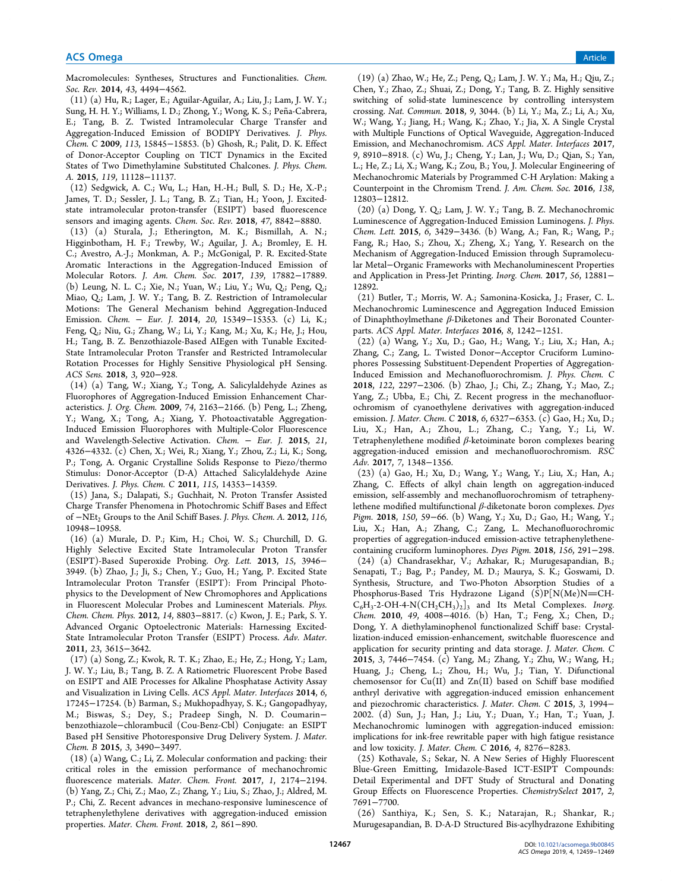Macromolecules: Syntheses, Structures and Functionalities. *Chem. Soc. Rev.* 2014, *43*, 4494−4562.

(11) (a) Hu, R.; Lager, E.; Aguilar-Aguilar, A.; Liu, J.; Lam, J. W. Y.; Sung, H. H. Y.; Williams, I. D.; Zhong, Y.; Wong, K. S.; Peña-Cabrera, E.; Tang, B. Z. Twisted Intramolecular Charge Transfer and Aggregation-Induced Emission of BODIPY Derivatives. *J. Phys. Chem. C* 2009, *113*, 15845−15853. (b) Ghosh, R.; Palit, D. K. Effect of Donor-Acceptor Coupling on TICT Dynamics in the Excited States of Two Dimethylamine Substituted Chalcones. *J. Phys. Chem. A.* 2015, *119*, 11128−11137.

(12) Sedgwick, A. C.; Wu, L.; Han, H.-H.; Bull, S. D.; He, X.-P.; James, T. D.; Sessler, J. L.; Tang, B. Z.; Tian, H.; Yoon, J. Excitedstate intramolecular proton-transfer (ESIPT) based fluorescence sensors and imaging agents. *Chem. Soc. Rev.* 2018, *47*, 8842−8880.

(13) (a) Sturala, J.; Etherington, M. K.; Bismillah, A. N.; Higginbotham, H. F.; Trewby, W.; Aguilar, J. A.; Bromley, E. H. C.; Avestro, A.-J.; Monkman, A. P.; McGonigal, P. R. Excited-State Aromatic Interactions in the Aggregation-Induced Emission of Molecular Rotors. *J. Am. Chem. Soc.* 2017, *139*, 17882−17889. (b) Leung, N. L. C.; Xie, N.; Yuan, W.; Liu, Y.; Wu, Q.; Peng, Q.; Miao, Q.; Lam, J. W. Y.; Tang, B. Z. Restriction of Intramolecular Motions: The General Mechanism behind Aggregation-Induced Emission. *Chem.* − *Eur. J.* 2014, *20*, 15349−15353. (c) Li, K.; Feng, Q.; Niu, G.; Zhang, W.; Li, Y.; Kang, M.; Xu, K.; He, J.; Hou, H.; Tang, B. Z. Benzothiazole-Based AIEgen with Tunable Excited-State Intramolecular Proton Transfer and Restricted Intramolecular Rotation Processes for Highly Sensitive Physiological pH Sensing. *ACS Sens.* 2018, *3*, 920−928.

(14) (a) Tang, W.; Xiang, Y.; Tong, A. Salicylaldehyde Azines as Fluorophores of Aggregation-Induced Emission Enhancement Characteristics. *J. Org. Chem.* 2009, *74*, 2163−2166. (b) Peng, L.; Zheng, Y.; Wang, X.; Tong, A.; Xiang, Y. Photoactivatable Aggregation-Induced Emission Fluorophores with Multiple-Color Fluorescence and Wavelength-Selective Activation. *Chem.* − *Eur. J.* 2015, *21*, 4326−4332. (c) Chen, X.; Wei, R.; Xiang, Y.; Zhou, Z.; Li, K.; Song, P.; Tong, A. Organic Crystalline Solids Response to Piezo/thermo Stimulus: Donor-Acceptor (D-A) Attached Salicylaldehyde Azine Derivatives. *J. Phys. Chem. C* 2011, *115*, 14353−14359.

(15) Jana, S.; Dalapati, S.; Guchhait, N. Proton Transfer Assisted Charge Transfer Phenomena in Photochromic Schiff Bases and Effect of −NEt<sup>2</sup> Groups to the Anil Schiff Bases. *J. Phys. Chem. A.* 2012, *116*, 10948−10958.

(16) (a) Murale, D. P.; Kim, H.; Choi, W. S.; Churchill, D. G. Highly Selective Excited State Intramolecular Proton Transfer (ESIPT)-Based Superoxide Probing. *Org. Lett.* 2013, *15*, 3946− 3949. (b) Zhao, J.; Ji, S.; Chen, Y.; Guo, H.; Yang, P. Excited State Intramolecular Proton Transfer (ESIPT): From Principal Photophysics to the Development of New Chromophores and Applications in Fluorescent Molecular Probes and Luminescent Materials. *Phys. Chem. Chem. Phys.* 2012, *14*, 8803−8817. (c) Kwon, J. E.; Park, S. Y. Advanced Organic Optoelectronic Materials: Harnessing Excited-State Intramolecular Proton Transfer (ESIPT) Process. *Adv. Mater.* 2011, *23*, 3615−3642.

(17) (a) Song, Z.; Kwok, R. T. K.; Zhao, E.; He, Z.; Hong, Y.; Lam, J. W. Y.; Liu, B.; Tang, B. Z. A Ratiometric Fluorescent Probe Based on ESIPT and AIE Processes for Alkaline Phosphatase Activity Assay and Visualization in Living Cells. *ACS Appl. Mater. Interfaces* 2014, *6*, 17245−17254. (b) Barman, S.; Mukhopadhyay, S. K.; Gangopadhyay, M.; Biswas, S.; Dey, S.; Pradeep Singh, N. D. Coumarin− benzothiazole−chlorambucil (Cou-Benz-Cbl) Conjugate: an ESIPT Based pH Sensitive Photoresponsive Drug Delivery System. *J. Mater. Chem. B* 2015, *3*, 3490−3497.

(18) (a) Wang, C.; Li, Z. Molecular conformation and packing: their critical roles in the emission performance of mechanochromic fluorescence materials. *Mater. Chem. Front.* 2017, *1*, 2174−2194. (b) Yang, Z.; Chi, Z.; Mao, Z.; Zhang, Y.; Liu, S.; Zhao, J.; Aldred, M. P.; Chi, Z. Recent advances in mechano-responsive luminescence of tetraphenylethylene derivatives with aggregation-induced emission properties. *Mater. Chem. Front.* 2018, *2*, 861−890.

(19) (a) Zhao, W.; He, Z.; Peng, Q.; Lam, J. W. Y.; Ma, H.; Qiu, Z.; Chen, Y.; Zhao, Z.; Shuai, Z.; Dong, Y.; Tang, B. Z. Highly sensitive switching of solid-state luminescence by controlling intersystem crossing. *Nat. Commun.* 2018, *9*, 3044. (b) Li, Y.; Ma, Z.; Li, A.; Xu, W.; Wang, Y.; Jiang, H.; Wang, K.; Zhao, Y.; Jia, X. A Single Crystal with Multiple Functions of Optical Waveguide, Aggregation-Induced Emission, and Mechanochromism. *ACS Appl. Mater. Interfaces* 2017, *9*, 8910−8918. (c) Wu, J.; Cheng, Y.; Lan, J.; Wu, D.; Qian, S.; Yan, L.; He, Z.; Li, X.; Wang, K.; Zou, B.; You, J. Molecular Engineering of Mechanochromic Materials by Programmed C-H Arylation: Making a Counterpoint in the Chromism Trend. *J. Am. Chem. Soc.* 2016, *138*, 12803−12812.

(20) (a) Dong, Y. Q.; Lam, J. W. Y.; Tang, B. Z. Mechanochromic Luminescence of Aggregation-Induced Emission Luminogens. *J. Phys. Chem. Lett.* 2015, *6*, 3429−3436. (b) Wang, A.; Fan, R.; Wang, P.; Fang, R.; Hao, S.; Zhou, X.; Zheng, X.; Yang, Y. Research on the Mechanism of Aggregation-Induced Emission through Supramolecular Metal−Organic Frameworks with Mechanoluminescent Properties and Application in Press-Jet Printing. *Inorg. Chem.* 2017, *56*, 12881− 12892.

(21) Butler, T.; Morris, W. A.; Samonina-Kosicka, J.; Fraser, C. L. Mechanochromic Luminescence and Aggregation Induced Emission of Dinaphthoylmethane β-Diketones and Their Boronated Counterparts. *ACS Appl. Mater. Interfaces* 2016, *8*, 1242−1251.

(22) (a) Wang, Y.; Xu, D.; Gao, H.; Wang, Y.; Liu, X.; Han, A.; Zhang, C.; Zang, L. Twisted Donor−Acceptor Cruciform Luminophores Possessing Substituent-Dependent Properties of Aggregation-Induced Emission and Mechanofluorochromism. *J. Phys. Chem. C* 2018, *122*, 2297−2306. (b) Zhao, J.; Chi, Z.; Zhang, Y.; Mao, Z.; Yang, Z.; Ubba, E.; Chi, Z. Recent progress in the mechanofluorochromism of cyanoethylene derivatives with aggregation-induced emission. *J. Mater. Chem. C* 2018, *6*, 6327−6353. (c) Gao, H.; Xu, D.; Liu, X.; Han, A.; Zhou, L.; Zhang, C.; Yang, Y.; Li, W. Tetraphenylethene modified β-ketoiminate boron complexes bearing aggregation-induced emission and mechanofluorochromism. *RSC Adv.* 2017, *7*, 1348−1356.

(23) (a) Gao, H.; Xu, D.; Wang, Y.; Wang, Y.; Liu, X.; Han, A.; Zhang, C. Effects of alkyl chain length on aggregation-induced emission, self-assembly and mechanofluorochromism of tetraphenylethene modified multifunctional β-diketonate boron complexes. *Dyes Pigm.* 2018, *150*, 59−66. (b) Wang, Y.; Xu, D.; Gao, H.; Wang, Y.; Liu, X.; Han, A.; Zhang, C.; Zang, L. Mechanofluorochromic properties of aggregation-induced emission-active tetraphenylethenecontaining cruciform luminophores. *Dyes Pigm.* 2018, *156*, 291−298. (24) (a) Chandrasekhar, V.; Azhakar, R.; Murugesapandian, B.; Senapati, T.; Bag, P.; Pandey, M. D.; Maurya, S. K.; Goswami, D. Synthesis, Structure, and Two-Photon Absorption Studies of a Phosphorus-Based Tris Hydrazone Ligand  $(S)P[N(Me)N=CH C_6H_3$ -2-OH-4-N $(CH_2CH_3)_2]_3$  and Its Metal Complexes. *Inorg. Chem.* 2010, *49*, 4008−4016. (b) Han, T.; Feng, X.; Chen, D.; Dong, Y. A diethylaminophenol functionalized Schiff base: Crystallization-induced emission-enhancement, switchable fluorescence and application for security printing and data storage. *J. Mater. Chem. C* 2015, *3*, 7446−7454. (c) Yang, M.; Zhang, Y.; Zhu, W.; Wang, H.; Huang, J.; Cheng, L.; Zhou, H.; Wu, J.; Tian, Y. Difunctional chemosensor for Cu(II) and Zn(II) based on Schiff base modified anthryl derivative with aggregation-induced emission enhancement and piezochromic characteristics. *J. Mater. Chem. C* 2015, *3*, 1994− 2002. (d) Sun, J.; Han, J.; Liu, Y.; Duan, Y.; Han, T.; Yuan, J. Mechanochromic luminogen with aggregation-induced emission: implications for ink-free rewritable paper with high fatigue resistance and low toxicity. *J. Mater. Chem. C* 2016, *4*, 8276−8283.

(25) Kothavale, S.; Sekar, N. A New Series of Highly Fluorescent Blue-Green Emitting, Imidazole-Based ICT-ESIPT Compounds: Detail Experimental and DFT Study of Structural and Donating Group Effects on Fluorescence Properties. *ChemistrySelect* 2017, *2*, 7691−7700.

(26) Santhiya, K.; Sen, S. K.; Natarajan, R.; Shankar, R.; Murugesapandian, B. D-A-D Structured Bis-acylhydrazone Exhibiting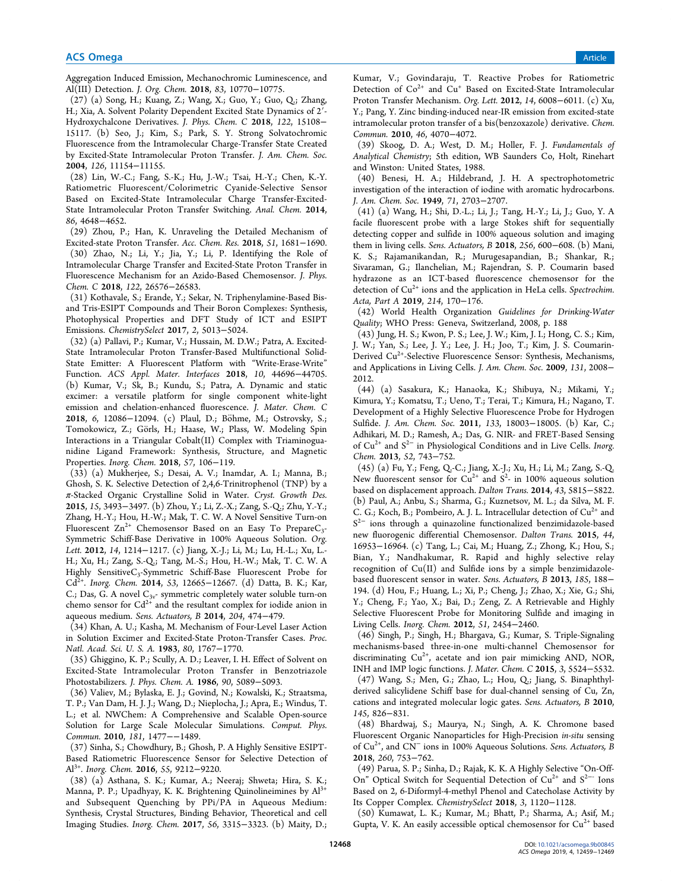Aggregation Induced Emission, Mechanochromic Luminescence, and Al(III) Detection. *J. Org. Chem.* 2018, *83*, 10770−10775.

(27) (a) Song, H.; Kuang, Z.; Wang, X.; Guo, Y.; Guo, Q.; Zhang, H.; Xia, A. Solvent Polarity Dependent Excited State Dynamics of 2′- Hydroxychalcone Derivatives. *J. Phys. Chem. C* 2018, *122*, 15108− 15117. (b) Seo, J.; Kim, S.; Park, S. Y. Strong Solvatochromic Fluorescence from the Intramolecular Charge-Transfer State Created by Excited-State Intramolecular Proton Transfer. *J. Am. Chem. Soc.* 2004, *126*, 11154−11155.

(28) Lin, W.-C.; Fang, S.-K.; Hu, J.-W.; Tsai, H.-Y.; Chen, K.-Y. Ratiometric Fluorescent/Colorimetric Cyanide-Selective Sensor Based on Excited-State Intramolecular Charge Transfer-Excited-State Intramolecular Proton Transfer Switching. *Anal. Chem.* 2014, *86*, 4648−4652.

(29) Zhou, P.; Han, K. Unraveling the Detailed Mechanism of Excited-state Proton Transfer. *Acc. Chem. Res.* 2018, *51*, 1681−1690. (30) Zhao, N.; Li, Y.; Jia, Y.; Li, P. Identifying the Role of Intramolecular Charge Transfer and Excited-State Proton Transfer in Fluorescence Mechanism for an Azido-Based Chemosensor. *J. Phys. Chem. C* 2018, *122*, 26576−26583.

(31) Kothavale, S.; Erande, Y.; Sekar, N. Triphenylamine-Based Bisand Tris-ESIPT Compounds and Their Boron Complexes: Synthesis, Photophysical Properties and DFT Study of ICT and ESIPT Emissions. *ChemistrySelect* 2017, *2*, 5013−5024.

(32) (a) Pallavi, P.; Kumar, V.; Hussain, M. D.W.; Patra, A. Excited-State Intramolecular Proton Transfer-Based Multifunctional Solid-State Emitter: A Fluorescent Platform with "Write-Erase-Write" Function. *ACS Appl. Mater. Interfaces* 2018, *10*, 44696−44705. (b) Kumar, V.; Sk, B.; Kundu, S.; Patra, A. Dynamic and static excimer: a versatile platform for single component white-light emission and chelation-enhanced fluorescence. *J. Mater. Chem. C* 2018, 6, 12086−12094. (c) Plaul, D.; Böhme, M.; Ostrovsky, S.; Tomokowicz, Z.; Görls, H.; Haase, W.; Plass, W. Modeling Spin Interactions in a Triangular Cobalt(II) Complex with Triaminoguanidine Ligand Framework: Synthesis, Structure, and Magnetic Properties. *Inorg. Chem.* 2018, *57*, 106−119.

(33) (a) Mukherjee, S.; Desai, A. V.; Inamdar, A. I.; Manna, B.; Ghosh, S. K. Selective Detection of 2,4,6-Trinitrophenol (TNP) by a π-Stacked Organic Crystalline Solid in Water. *Cryst. Growth Des.* 2015, *15*, 3493−3497. (b) Zhou, Y.; Li, Z.-X.; Zang, S.-Q.; Zhu, Y.-Y.; Zhang, H.-Y.; Hou, H.-W.; Mak, T. C. W. A Novel Sensitive Turn-on Fluorescent  $\text{Zn}^{2+}$  Chemosensor Based on an Easy To Prepare $\text{C}_3$ -Symmetric Schiff-Base Derivative in 100% Aqueous Solution. *Org. Lett.* 2012, *14*, 1214−1217. (c) Jiang, X.-J.; Li, M.; Lu, H.-L.; Xu, L.- H.; Xu, H.; Zang, S.-Q.; Tang, M.-S.; Hou, H.-W.; Mak, T. C. W. A Highly SensitiveC<sub>3</sub>-Symmetric Schiff-Base Fluorescent Probe for Cd2+ . *Inorg. Chem.* 2014, *53*, 12665−12667. (d) Datta, B. K.; Kar, C.; Das, G. A novel  $C_{3v}$ - symmetric completely water soluble turn-on chemo sensor for  $Cd^{2+}$  and the resultant complex for iodide anion in aqueous medium. *Sens. Actuators, B* 2014, *204*, 474−479.

(34) Khan, A. U.; Kasha, M. Mechanism of Four-Level Laser Action in Solution Excimer and Excited-State Proton-Transfer Cases. *Proc. Natl. Acad. Sci. U. S. A.* 1983, *80*, 1767−1770.

(35) Ghiggino, K. P.; Scully, A. D.; Leaver, I. H. Effect of Solvent on Excited-State Intramolecular Proton Transfer in Benzotriazole Photostabilizers. *J. Phys. Chem. A.* 1986, *90*, 5089−5093.

(36) Valiev, M.; Bylaska, E. J.; Govind, N.; Kowalski, K.; Straatsma, T. P.; Van Dam, H. J. J.; Wang, D.; Nieplocha, J.; Apra, E.; Windus, T. L.; et al. NWChem: A Comprehensive and Scalable Open-source Solution for Large Scale Molecular Simulations. *Comput. Phys. Commun.* 2010, *181*, 1477−−1489.

(37) Sinha, S.; Chowdhury, B.; Ghosh, P. A Highly Sensitive ESIPT-Based Ratiometric Fluorescence Sensor for Selective Detection of Al3+ . *Inorg. Chem.* 2016, *55*, 9212−9220.

(38) (a) Asthana, S. K.; Kumar, A.; Neeraj; Shweta; Hira, S. K.; Manna, P. P.; Upadhyay, K. K. Brightening Quinolineimines by  $Al^{3+}$ and Subsequent Quenching by PPi/PA in Aqueous Medium: Synthesis, Crystal Structures, Binding Behavior, Theoretical and cell Imaging Studies. *Inorg. Chem.* 2017, *56*, 3315−3323. (b) Maity, D.; Kumar, V.; Govindaraju, T. Reactive Probes for Ratiometric Detection of  $Co^{2+}$  and  $Cu^{+}$  Based on Excited-State Intramolecular Proton Transfer Mechanism. *Org. Lett.* 2012, *14*, 6008−6011. (c) Xu, Y.; Pang, Y. Zinc binding-induced near-IR emission from excited-state intramolecular proton transfer of a bis(benzoxazole) derivative. *Chem. Commun.* 2010, *46*, 4070−4072.

(39) Skoog, D. A.; West, D. M.; Holler, F. J. *Fundamentals of Analytical Chemistry*; 5th edition, WB Saunders Co, Holt, Rinehart and Winston: United States, 1988.

(40) Benesi, H. A.; Hildebrand, J. H. A spectrophotometric investigation of the interaction of iodine with aromatic hydrocarbons. *J. Am. Chem. Soc.* 1949, *71*, 2703−2707.

(41) (a) Wang, H.; Shi, D.-L.; Li, J.; Tang, H.-Y.; Li, J.; Guo, Y. A facile fluorescent probe with a large Stokes shift for sequentially detecting copper and sulfide in 100% aqueous solution and imaging them in living cells. *Sens. Actuators, B* 2018, *256*, 600−608. (b) Mani, K. S.; Rajamanikandan, R.; Murugesapandian, B.; Shankar, R.; Sivaraman, G.; Ilanchelian, M.; Rajendran, S. P. Coumarin based hydrazone as an ICT-based fluorescence chemosensor for the detection of Cu<sup>2+</sup> ions and the application in HeLa cells. *Spectrochim*. *Acta, Part A* 2019, *214*, 170−176.

(42) World Health Organization *Guidelines for Drinking-Water Quality*; WHO Press: Geneva, Switzerland, 2008, p. 188

(43) Jung, H. S.; Kwon, P. S.; Lee, J. W.; Kim, J. I.; Hong, C. S.; Kim, J. W.; Yan, S.; Lee, J. Y.; Lee, J. H.; Joo, T.; Kim, J. S. Coumarin-Derived Cu<sup>2+</sup>-Selective Fluorescence Sensor: Synthesis, Mechanisms, and Applications in Living Cells. *J. Am. Chem. Soc.* 2009, *131*, 2008− 2012.

(44) (a) Sasakura, K.; Hanaoka, K.; Shibuya, N.; Mikami, Y.; Kimura, Y.; Komatsu, T.; Ueno, T.; Terai, T.; Kimura, H.; Nagano, T. Development of a Highly Selective Fluorescence Probe for Hydrogen Sulfide. *J. Am. Chem. Soc.* 2011, *133*, 18003−18005. (b) Kar, C.; Adhikari, M. D.; Ramesh, A.; Das, G. NIR- and FRET-Based Sensing of Cu2+ and S<sup>2</sup><sup>−</sup> in Physiological Conditions and in Live Cells. *Inorg. Chem.* 2013, *52*, 743−752.

(45) (a) Fu, Y.; Feng, Q.-C.; Jiang, X.-J.; Xu, H.; Li, M.; Zang, S.-Q. New fluorescent sensor for  $Cu^{2+}$  and  $S^2$ - in 100% aqueous solution based on displacement approach. *Dalton Trans.* 2014, *43*, 5815−5822. (b) Paul, A.; Anbu, S.; Sharma, G.; Kuznetsov, M. L.; da Silva, M. F. C. G.; Koch, B.; Pombeiro, A. J. L. Intracellular detection of  $Cu^{2+}$  and S 2− ions through a quinazoline functionalized benzimidazole-based new fluorogenic differential Chemosensor. *Dalton Trans.* 2015, *44*, 16953−16964. (c) Tang, L.; Cai, M.; Huang, Z.; Zhong, K.; Hou, S.; Bian, Y.; Nandhakumar, R. Rapid and highly selective relay recognition of Cu(II) and Sulfide ions by a simple benzimidazolebased fluorescent sensor in water. *Sens. Actuators, B* 2013, *185*, 188− 194. (d) Hou, F.; Huang, L.; Xi, P.; Cheng, J.; Zhao, X.; Xie, G.; Shi, Y.; Cheng, F.; Yao, X.; Bai, D.; Zeng, Z. A Retrievable and Highly Selective Fluorescent Probe for Monitoring Sulfide and imaging in Living Cells. *Inorg. Chem.* 2012, *51*, 2454−2460.

(46) Singh, P.; Singh, H.; Bhargava, G.; Kumar, S. Triple-Signaling mechanisms-based three-in-one multi-channel Chemosensor for discriminating Cu<sup>2+</sup>, acetate and ion pair mimicking AND, NOR, INH and IMP logic functions. *J. Mater. Chem. C* 2015, *3*, 5524−5532. (47) Wang, S.; Men, G.; Zhao, L.; Hou, Q.; Jiang, S. Binaphthylderived salicylidene Schiff base for dual-channel sensing of Cu, Zn, cations and integrated molecular logic gates. *Sens. Actuators, B* 2010, *145*, 826−831.

(48) Bhardwaj, S.; Maurya, N.; Singh, A. K. Chromone based Fluorescent Organic Nanoparticles for High-Precision *in-situ* sensing of Cu2+, and CN<sup>−</sup> ions in 100% Aqueous Solutions. *Sens. Actuators, B* 2018, *260*, 753−762.

(49) Parua, S. P.; Sinha, D.; Rajak, K. K. A Highly Selective "On-Off-On" Optical Switch for Sequential Detection of Cu<sup>2+</sup> and S<sup>2-−</sup> Ions Based on 2, 6-Diformyl-4-methyl Phenol and Catecholase Activity by Its Copper Complex. *ChemistrySelect* 2018, *3*, 1120−1128.

(50) Kumawat, L. K.; Kumar, M.; Bhatt, P.; Sharma, A.; Asif, M.; Gupta, V. K. An easily accessible optical chemosensor for  $Cu^{2+}$  based